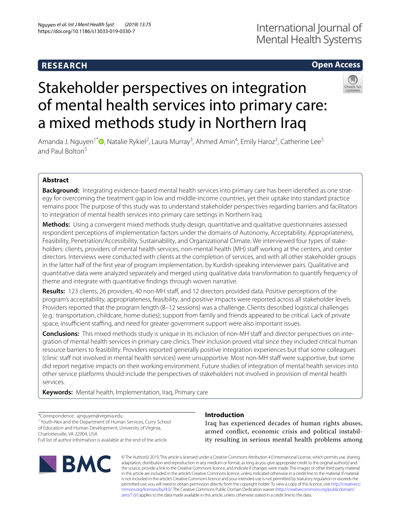## **RESEARCH**

# International Journal of Mental Health Systems

## **Open Access**

# Stakeholder perspectives on integration of mental health services into primary care: a mixed methods study in Northern Iraq



Amanda J. Nguyen<sup>1\*</sup><sup>®</sup>[,](http://orcid.org/0000-0003-4288-3457) Natalie Rykiel<sup>2</sup>, Laura Murray<sup>3</sup>, Ahmed Amin<sup>4</sup>, Emily Haroz<sup>3</sup>, Catherine Lee<sup>5</sup> and Paul Bolton<sup>5</sup>

## **Abstract**

**Background:** Integrating evidence-based mental health services into primary care has been identifed as one strategy for overcoming the treatment gap in low and middle-income countries, yet their uptake into standard practice remains poor. The purpose of this study was to understand stakeholder perspectives regarding barriers and facilitators to integration of mental health services into primary care settings in Northern Iraq.

**Methods:** Using a convergent mixed methods study design, quantitative and qualitative questionnaires assessed respondent perceptions of implementation factors under the domains of Autonomy, Acceptability, Appropriateness, Feasibility, Penetration/Accessibility, Sustainability, and Organizational Climate. We interviewed four types of stakeholders: clients, providers of mental health services, non-mental health (MH) staff working at the centers, and center directors. Interviews were conducted with clients at the completion of services, and with all other stakeholder groups in the latter half of the frst year of program implementation, by Kurdish-speaking interviewer pairs. Qualitative and quantitative data were analyzed separately and merged using qualitative data transformation to quantify frequency of theme and integrate with quantitative fndings through woven narrative.

**Results:** 123 clients, 26 providers, 40 non-MH staf, and 12 directors provided data. Positive perceptions of the program's acceptability, appropriateness, feasibility, and positive impacts were reported across all stakeholder levels. Providers reported that the program length (8–12 sessions) was a challenge. Clients described logistical challenges (e.g.: transportation, childcare, home duties); support from family and friends appeared to be critical. Lack of private space, insufficient staffing, and need for greater government support were also important issues.

**Conclusions:** This mixed methods study is unique in its inclusion of non-MH staff and director perspectives on integration of mental health services in primary care clinics. Their inclusion proved vital since they included critical human resource barriers to feasibility. Providers reported generally positive integration experiences but that some colleagues (clinic staff not involved in mental health services) were unsupportive. Most non-MH staff were supportive, but some did report negative impacts on their working environment. Future studies of integration of mental health services into other service platforms should include the perspectives of stakeholders not involved in provision of mental health services.

**Keywords:** Mental health, Implementation, Iraq, Primary care

\*Correspondence: ajnguyen@virginia.edu <sup>1</sup> Youth-Nex and the Department of Human Services, Curry School of Education and Human Development, University of Virginia, Charlottesville, VA 22904, USA Full list of author information is available at the end of the article



## **Introduction**

Iraq has experienced decades of human rights abuses, armed confict, economic crisis and political instability resulting in serious mental health problems among

© The Author(s) 2019. This article is licensed under a Creative Commons Attribution 4.0 International License, which permits use, sharing, adaptation, distribution and reproduction in any medium or format, as long as you give appropriate credit to the original author(s) and the source, provide a link to the Creative Commons licence, and indicate if changes were made. The images or other third party material in this article are included in the article's Creative Commons licence, unless indicated otherwise in a credit line to the material. If material is not included in the article's Creative Commons licence and your intended use is not permitted by statutory regulation or exceeds the permitted use, you will need to obtain permission directly from the copyright holder. To view a copy of this licence, visit [http://creativeco](http://creativecommons.org/licenses/by/4.0/) [mmons.org/licenses/by/4.0/.](http://creativecommons.org/licenses/by/4.0/) The Creative Commons Public Domain Dedication waiver ([http://creativecommons.org/publicdomain/](http://creativecommons.org/publicdomain/zero/1.0/) [zero/1.0/\)](http://creativecommons.org/publicdomain/zero/1.0/) applies to the data made available in this article, unless otherwise stated in a credit line to the data.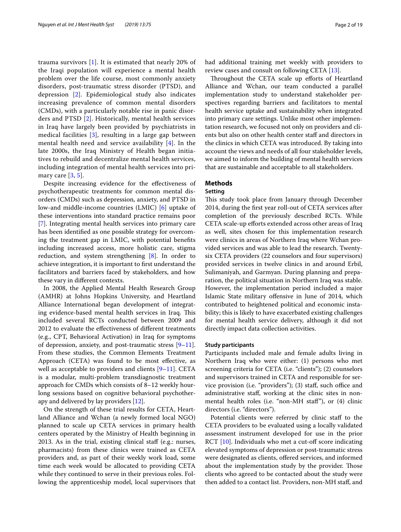trauma survivors [\[1](#page-17-0)]. It is estimated that nearly 20% of the Iraqi population will experience a mental health problem over the life course, most commonly anxiety disorders, post-traumatic stress disorder (PTSD), and depression [\[2](#page-17-1)]. Epidemiological study also indicates increasing prevalence of common mental disorders (CMDs), with a particularly notable rise in panic disorders and PTSD [[2\]](#page-17-1). Historically, mental health services in Iraq have largely been provided by psychiatrists in medical facilities [\[3](#page-17-2)], resulting in a large gap between mental health need and service availability [[4\]](#page-17-3). In the late 2000s, the Iraq Ministry of Health began initiatives to rebuild and decentralize mental health services, including integration of mental health services into pri-mary care [\[3](#page-17-2), [5](#page-17-4)].

Despite increasing evidence for the efectiveness of psychotherapeutic treatments for common mental disorders (CMDs) such as depression, anxiety, and PTSD in low-and middle-income countries (LMIC) [[6\]](#page-17-5) uptake of these interventions into standard practice remains poor [[7\]](#page-17-6). Integrating mental health services into primary care has been identifed as one possible strategy for overcoming the treatment gap in LMIC, with potential benefts including increased access, more holistic care, stigma reduction, and system strengthening [\[8](#page-17-7)]. In order to achieve integration, it is important to frst understand the facilitators and barriers faced by stakeholders, and how these vary in diferent contexts.

In 2008, the Applied Mental Health Research Group (AMHR) at Johns Hopkins University, and Heartland Alliance International began development of integrating evidence-based mental health services in Iraq. This included several RCTs conducted between 2009 and 2012 to evaluate the efectiveness of diferent treatments (e.g., CPT, Behavioral Activation) in Iraq for symptoms of depression, anxiety, and post-traumatic stress [\[9](#page-17-8)[–11](#page-17-9)]. From these studies, the Common Elements Treatment Approach (CETA) was found to be most effective, as well as acceptable to providers and clients  $[9-11]$  $[9-11]$ . CETA is a modular, multi-problem transdiagnostic treatment approach for CMDs which consists of 8–12 weekly hourlong sessions based on cognitive behavioral psychotherapy and delivered by lay providers [\[12](#page-17-10)].

On the strength of these trial results for CETA, Heartland Alliance and Wchan (a newly formed local NGO) planned to scale up CETA services in primary health centers operated by the Ministry of Health beginning in 2013. As in the trial, existing clinical staf (e.g.: nurses, pharmacists) from these clinics were trained as CETA providers and, as part of their weekly work load, some time each week would be allocated to providing CETA while they continued to serve in their previous roles. Following the apprenticeship model, local supervisors that had additional training met weekly with providers to review cases and consult on following CETA [[13](#page-17-11)].

Throughout the CETA scale up efforts of Heartland Alliance and Wchan, our team conducted a parallel implementation study to understand stakeholder perspectives regarding barriers and facilitators to mental health service uptake and sustainability when integrated into primary care settings. Unlike most other implementation research, we focused not only on providers and clients but also on other health center staff and directors in the clinics in which CETA was introduced. By taking into account the views and needs of all four stakeholder levels, we aimed to inform the building of mental health services that are sustainable and acceptable to all stakeholders.

#### **Methods**

#### **Setting**

This study took place from January through December 2014, during the frst year roll-out of CETA services after completion of the previously described RCTs. While CETA scale-up efforts extended across other areas of Iraq as well, sites chosen for this implementation research were clinics in areas of Northern Iraq where Wchan provided services and was able to lead the research. Twentysix CETA providers (22 counselors and four supervisors) provided services in twelve clinics in and around Erbil, Sulimaniyah, and Garmyan. During planning and preparation, the political situation in Northern Iraq was stable. However, the implementation period included a major Islamic State military ofensive in June of 2014, which contributed to heightened political and economic instability; this is likely to have exacerbated existing challenges for mental health service delivery, although it did not directly impact data collection activities.

#### **Study participants**

Participants included male and female adults living in Northern Iraq who were either: (1) persons who met screening criteria for CETA (i.e. "clients"); (2) counselors and supervisors trained in CETA and responsible for service provision (i.e. "providers"); (3) staff, such office and administrative staf, working at the clinic sites in nonmental health roles (i.e. "non-MH staf"), or (4) clinic directors (i.e. "directors").

Potential clients were referred by clinic staff to the CETA providers to be evaluated using a locally validated assessment instrument developed for use in the prior RCT  $[10]$  $[10]$ . Individuals who met a cut-off score indicating elevated symptoms of depression or post-traumatic stress were designated as clients, offered services, and informed about the implementation study by the provider. Those clients who agreed to be contacted about the study were then added to a contact list. Providers, non-MH staf, and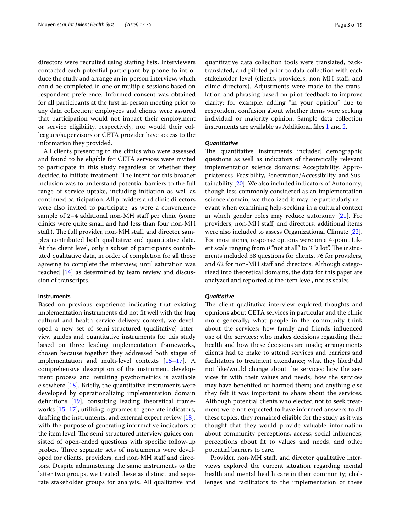directors were recruited using staffing lists. Interviewers contacted each potential participant by phone to introduce the study and arrange an in-person interview, which could be completed in one or multiple sessions based on respondent preference. Informed consent was obtained for all participants at the frst in-person meeting prior to any data collection; employees and clients were assured that participation would not impact their employment or service eligibility, respectively, nor would their colleagues/supervisors or CETA provider have access to the information they provided.

All clients presenting to the clinics who were assessed and found to be eligible for CETA services were invited to participate in this study regardless of whether they decided to initiate treatment. The intent for this broader inclusion was to understand potential barriers to the full range of service uptake, including initiation as well as continued participation. All providers and clinic directors were also invited to participate, as were a convenience sample of 2–4 additional non-MH staff per clinic (some clinics were quite small and had less than four non-MH staff). The full provider, non-MH staff, and director samples contributed both qualitative and quantitative data. At the client level, only a subset of participants contributed qualitative data, in order of completion for all those agreeing to complete the interview, until saturation was reached [[14\]](#page-17-13) as determined by team review and discussion of transcripts.

#### **Instruments**

Based on previous experience indicating that existing implementation instruments did not ft well with the Iraq cultural and health service delivery context, we developed a new set of semi-structured (qualitative) interview guides and quantitative instruments for this study based on three leading implementation frameworks, chosen because together they addressed both stages of implementation and multi-level contexts [[15–](#page-17-14)[17](#page-17-15)]. A comprehensive description of the instrument development process and resulting psychometrics is available elsewhere [[18\]](#page-17-16). Briefy, the quantitative instruments were developed by operationalizing implementation domain defnitions [\[19\]](#page-17-17), consulting leading theoretical frameworks [[15–](#page-17-14)[17\]](#page-17-15), utilizing logframes to generate indicators, drafting the instruments, and external expert review [\[18](#page-17-16)], with the purpose of generating informative indicators at the item level. The semi-structured interview guides consisted of open-ended questions with specifc follow-up probes. Three separate sets of instruments were developed for clients, providers, and non-MH staff and directors. Despite administering the same instruments to the latter two groups, we treated these as distinct and separate stakeholder groups for analysis. All qualitative and

quantitative data collection tools were translated, backtranslated, and piloted prior to data collection with each stakeholder level (clients, providers, non-MH staf, and clinic directors). Adjustments were made to the translation and phrasing based on pilot feedback to improve clarity; for example, adding "in your opinion" due to respondent confusion about whether items were seeking individual or majority opinion. Sample data collection instruments are available as Additional fles [1](#page-16-0) and [2.](#page-16-1)

#### *Quantitative*

The quantitative instruments included demographic questions as well as indicators of theoretically relevant implementation science domains: Acceptability, Appropriateness, Feasibility, Penetration/Accessibility, and Sustainability [[20\]](#page-17-18). We also included indicators of Autonomy; though less commonly considered as an implementation science domain, we theorized it may be particularly relevant when examining help-seeking in a cultural context in which gender roles may reduce autonomy [\[21\]](#page-17-19). For providers, non-MH staf, and directors, additional items were also included to assess Organizational Climate [\[22](#page-17-20)]. For most items, response options were on a 4-point Likert scale ranging from 0 "not at all" to 3 "a lot". The instruments included 38 questions for clients, 76 for providers, and 62 for non-MH staff and directors. Although categorized into theoretical domains, the data for this paper are analyzed and reported at the item level, not as scales.

#### *Qualitative*

The client qualitative interview explored thoughts and opinions about CETA services in particular and the clinic more generally; what people in the community think about the services; how family and friends infuenced use of the services; who makes decisions regarding their health and how these decisions are made; arrangements clients had to make to attend services and barriers and facilitators to treatment attendance; what they liked/did not like/would change about the services; how the services ft with their values and needs; how the services may have beneftted or harmed them; and anything else they felt it was important to share about the services. Although potential clients who elected not to seek treatment were not expected to have informed answers to all these topics, they remained eligible for the study as it was thought that they would provide valuable information about community perceptions, access, social infuences, perceptions about ft to values and needs, and other potential barriers to care.

Provider, non-MH staff, and director qualitative interviews explored the current situation regarding mental health and mental health care in their community; challenges and facilitators to the implementation of these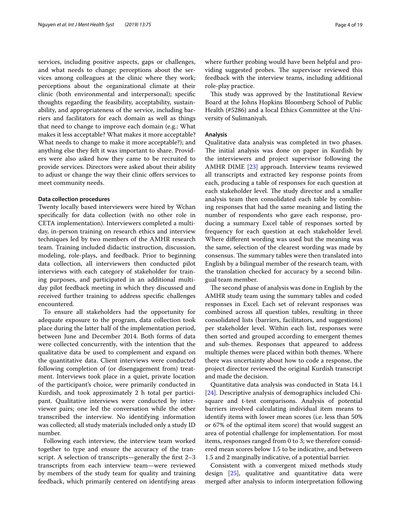services, including positive aspects, gaps or challenges, and what needs to change; perceptions about the services among colleagues at the clinic where they work; perceptions about the organizational climate at their clinic (both environmental and interpersonal); specifc thoughts regarding the feasibility, acceptability, sustainability, and appropriateness of the service, including barriers and facilitators for each domain as well as things that need to change to improve each domain (e.g.: What makes it less acceptable? What makes it more acceptable? What needs to change to make it more acceptable?); and anything else they felt it was important to share. Providers were also asked how they came to be recruited to provide services. Directors were asked about their ability to adjust or change the way their clinic offers services to meet community needs.

#### **Data collection procedures**

Twenty locally based interviewers were hired by Wchan specifcally for data collection (with no other role in CETA implementation). Interviewers completed a multiday, in-person training on research ethics and interview techniques led by two members of the AMHR research team. Training included didactic instruction, discussion, modeling, role-plays, and feedback. Prior to beginning data collection, all interviewers then conducted pilot interviews with each category of stakeholder for training purposes, and participated in an additional multiday pilot feedback meeting in which they discussed and received further training to address specifc challenges encountered.

To ensure all stakeholders had the opportunity for adequate exposure to the program, data collection took place during the latter half of the implementation period, between June and December 2014. Both forms of data were collected concurrently, with the intention that the qualitative data be used to complement and expand on the quantitative data. Client interviews were conducted following completion of (or disengagement from) treatment. Interviews took place in a quiet, private location of the participant's choice, were primarily conducted in Kurdish, and took approximately 2 h total per participant. Qualitative interviews were conducted by interviewer pairs; one led the conversation while the other transcribed the interview. No identifying information was collected; all study materials included only a study ID number.

Following each interview, the interview team worked together to type and ensure the accuracy of the transcript. A selection of transcripts—generally the frst 2–3 transcripts from each interview team—were reviewed by members of the study team for quality and training feedback, which primarily centered on identifying areas

where further probing would have been helpful and providing suggested probes. The supervisor reviewed this feedback with the interview teams, including additional role-play practice.

This study was approved by the Institutional Review Board at the Johns Hopkins Bloomberg School of Public Health (#5286) and a local Ethics Committee at the University of Sulimaniyah.

#### **Analysis**

Qualitative data analysis was completed in two phases. The initial analysis was done on paper in Kurdish by the interviewers and project supervisor following the AMHR DIME [\[23](#page-17-21)] approach. Interview teams reviewed all transcripts and extracted key response points from each, producing a table of responses for each question at each stakeholder level. The study director and a smaller analysis team then consolidated each table by combining responses that had the same meaning and listing the number of respondents who gave each response, producing a summary Excel table of responses sorted by frequency for each question at each stakeholder level. Where diferent wording was used but the meaning was the same, selection of the clearest wording was made by consensus. The summary tables were then translated into English by a bilingual member of the research team, with the translation checked for accuracy by a second bilingual team member.

The second phase of analysis was done in English by the AMHR study team using the summary tables and coded responses in Excel. Each set of relevant responses was combined across all question tables, resulting in three consolidated lists (barriers, facilitators, and suggestions) per stakeholder level. Within each list, responses were then sorted and grouped according to emergent themes and sub-themes. Responses that appeared to address multiple themes were placed within both themes. Where there was uncertainty about how to code a response, the project director reviewed the original Kurdish transcript and made the decision.

Quantitative data analysis was conducted in Stata 14.1 [[24\]](#page-17-22). Descriptive analysis of demographics included Chisquare and t-test comparisons. Analysis of potential barriers involved calculating individual item means to identify items with lower mean scores (i.e. less than 50% or 67% of the optimal item score) that would suggest an area of potential challenge for implementation. For most items, responses ranged from 0 to 3; we therefore considered mean scores below 1.5 to be indicative, and between 1.5 and 2 marginally indicative, of a potential barrier.

Consistent with a convergent mixed methods study design [[25\]](#page-17-23), qualitative and quantitative data were merged after analysis to inform interpretation following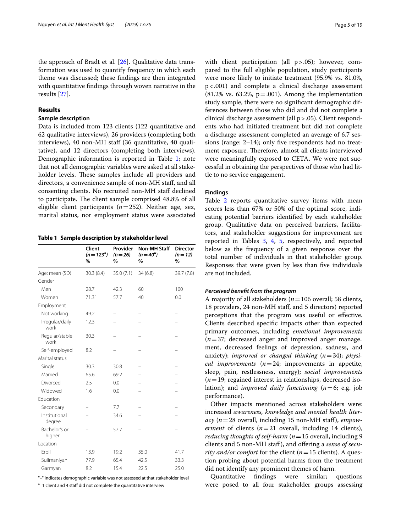the approach of Bradt et al. [\[26](#page-17-24)]. Qualitative data transformation was used to quantify frequency in which each theme was discussed; these fndings are then integrated with quantitative fndings through woven narrative in the results [\[27](#page-17-25)].

### **Results**

#### **Sample description**

Data is included from 123 clients (122 quantitative and 62 qualitative interviews), 26 providers (completing both interviews), 40 non-MH staff (36 quantitative, 40 qualitative), and 12 directors (completing both interviews). Demographic information is reported in Table [1;](#page-4-0) note that not all demographic variables were asked at all stakeholder levels. These samples include all providers and directors, a convenience sample of non-MH staf, and all consenting clients. No recruited non-MH staf declined to participate. The client sample comprised 48.8% of all eligible client participants  $(n=252)$ . Neither age, sex, marital status, nor employment status were associated

<span id="page-4-0"></span>**Table 1 Sample description by stakeholder level**

|                         | Client<br>$(n = 123^a)$<br>% | Provider<br>$(n=26)$<br>% | <b>Non-MH Staff</b><br>$(n = 40^a)$<br>% | <b>Director</b><br>$(n=12)$<br>% |
|-------------------------|------------------------------|---------------------------|------------------------------------------|----------------------------------|
| Age; mean (SD)          | 30.3(8.4)                    | 35.0(7.1)                 | 34(6.8)                                  | 39.7 (7.8)                       |
| Gender                  |                              |                           |                                          |                                  |
| Men                     | 28.7                         | 42.3                      | 60                                       | 100                              |
| Women                   | 71.31                        | 57.7                      | 40                                       | 0.0                              |
| Employment              |                              |                           |                                          |                                  |
| Not working             | 49.2                         |                           |                                          |                                  |
| Irregular/daily<br>work | 12.3                         |                           |                                          |                                  |
| Regular/stable<br>work  | 30.3                         |                           |                                          |                                  |
| Self-employed           | 8.2                          |                           |                                          |                                  |
| Marital status          |                              |                           |                                          |                                  |
| Single                  | 30.3                         | 30.8                      |                                          |                                  |
| Married                 | 65.6                         | 69.2                      |                                          |                                  |
| Divorced                | 2.5                          | 0.0                       |                                          |                                  |
| Widowed                 | 1.6                          | 0.0                       |                                          |                                  |
| Education               |                              |                           |                                          |                                  |
| Secondary               |                              | 7.7                       |                                          |                                  |
| Institutional<br>degree |                              | 34.6                      |                                          |                                  |
| Bachelor's or<br>higher |                              | 57.7                      |                                          |                                  |
| Location                |                              |                           |                                          |                                  |
| Frbil                   | 13.9                         | 19.2                      | 35.0                                     | 41.7                             |
| Sulimaniyah             | 77.9                         | 65.4                      | 42.5                                     | 33.3                             |
| Garmyan                 | 8.2                          | 15.4                      | 22.5                                     | 25.0                             |

"–" indicates demographic variable was not assessed at that stakeholder level

 $a$  1 client and 4 staff did not complete the quantitative interview

with client participation (all p > .05); however, compared to the full eligible population, study participants were more likely to initiate treatment (95.9% vs. 81.0%, p<.001) and complete a clinical discharge assessment (81.2% vs. 63.2%,  $p = .001$ ). Among the implementation study sample, there were no signifcant demographic differences between those who did and did not complete a clinical discharge assessment (all p>.05). Client respondents who had initiated treatment but did not complete a discharge assessment completed an average of 6.7 sessions (range: 2–14); only fve respondents had no treatment exposure. Therefore, almost all clients interviewed were meaningfully exposed to CETA. We were not successful in obtaining the perspectives of those who had little to no service engagement.

#### **Findings**

Table [2](#page-5-0) reports quantitative survey items with mean scores less than 67% or 50% of the optimal score, indicating potential barriers identifed by each stakeholder group. Qualitative data on perceived barriers, facilitators, and stakeholder suggestions for improvement are reported in Tables [3](#page-6-0), [4](#page-9-0), [5,](#page-12-0) respectively, and reported below as the frequency of a given response over the total number of individuals in that stakeholder group. Responses that were given by less than fve individuals are not included.

#### *Perceived beneft from the program*

A majority of all stakeholders (*n*=106 overall; 58 clients, 18 providers, 24 non-MH staf, and 5 directors) reported perceptions that the program was useful or efective. Clients described specifc impacts other than expected primary outcomes, including *emotional improvements* (*n*=37; decreased anger and improved anger management, decreased feelings of depression, sadness, and anxiety); *improved or changed thinking* (*n*=34); *physical improvements*  $(n=24;$  improvements in appetite, sleep, pain, restlessness, energy); *social improvements*  $(n=19;$  regained interest in relationships, decreased isolation); and *improved daily functioning* (*n*=6; e.g. job performance).

Other impacts mentioned across stakeholders were: increased *awareness, knowledge and mental health literacy* (*n*=28 overall, including 15 non-MH staf), *empowerment* of clients  $(n=21$  overall, including 14 clients), *reducing thoughts of self-harm* (*n*=15 overall, including 9 clients and 5 non-MH staf), and ofering a *sense of security and/or comfort* for the client ( $n=15$  clients). A question probing about potential harms from the treatment did not identify any prominent themes of harm.

Quantitative fndings were similar; questions were posed to all four stakeholder groups assessing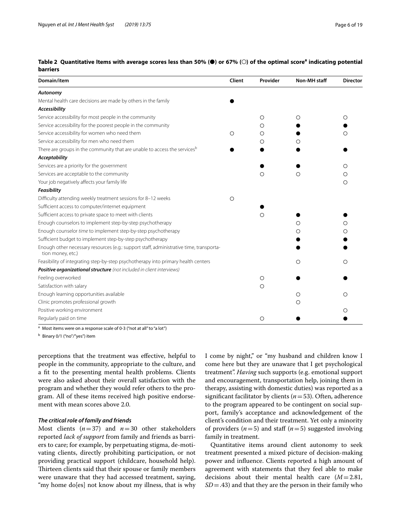## <span id="page-5-0"></span>**Table 2 Quantitative Items with average scores less than 50% (**●**) or 67% (**○**) of the optimal scorea indicating potential barriers**

| Domain/item                                                                                                  | Client | Provider | <b>Non-MH staff</b> | <b>Director</b> |
|--------------------------------------------------------------------------------------------------------------|--------|----------|---------------------|-----------------|
| Autonomy                                                                                                     |        |          |                     |                 |
| Mental health care decisions are made by others in the family                                                |        |          |                     |                 |
| Accessibility                                                                                                |        |          |                     |                 |
| Service accessibility for most people in the community                                                       |        | O        | Ω                   |                 |
| Service accessibility for the poorest people in the community                                                |        | Ω        |                     |                 |
| Service accessibility for women who need them                                                                | Ω      | Ω        |                     |                 |
| Service accessibility for men who need them                                                                  |        | Ω        |                     |                 |
| There are groups in the community that are unable to access the services <sup>b</sup>                        |        |          |                     |                 |
| <b>Acceptability</b>                                                                                         |        |          |                     |                 |
| Services are a priority for the government                                                                   |        |          |                     | ∩               |
| Services are acceptable to the community                                                                     |        | Ω        | Ω                   | O               |
| Your job negatively affects your family life                                                                 |        |          |                     | Ω               |
| <b>Feasibility</b>                                                                                           |        |          |                     |                 |
| Difficulty attending weekly treatment sessions for 8-12 weeks                                                | ∩      |          |                     |                 |
| Sufficient access to computer/internet equipment                                                             |        |          |                     |                 |
| Sufficient access to private space to meet with clients                                                      |        | Ω        |                     |                 |
| Enough counselors to implement step-by-step psychotherapy                                                    |        |          |                     |                 |
| Enough counselor time to implement step-by-step psychotherapy                                                |        |          |                     |                 |
| Sufficient budget to implement step-by-step psychotherapy                                                    |        |          |                     |                 |
| Enough other necessary resources (e.g.: support staff, administrative time, transporta-<br>tion money, etc.) |        |          |                     |                 |
| Feasibility of integrating step-by-step psychotherapy into primary health centers                            |        |          | Ω                   |                 |
| Positive organizational structure (not included in client interviews)                                        |        |          |                     |                 |
| Feeling overworked                                                                                           |        | O        |                     |                 |
| Satisfaction with salary                                                                                     |        | Ω        |                     |                 |
| Enough learning opportunities available                                                                      |        |          | Ω                   | ∩               |
| Clinic promotes professional growth                                                                          |        |          | Ω                   |                 |
| Positive working environment                                                                                 |        |          |                     |                 |
| Regularly paid on time                                                                                       |        | $\circ$  |                     |                 |

<sup>a</sup> Most items were on a response scale of 0-3 ("not at all" to "a lot")

<sup>b</sup> Binary 0/1 ("no"/"yes") item

perceptions that the treatment was efective, helpful to people in the community, appropriate to the culture, and a ft to the presenting mental health problems. Clients were also asked about their overall satisfaction with the program and whether they would refer others to the program. All of these items received high positive endorsement with mean scores above 2.0.

#### *The critical role of family and friends*

Most clients  $(n=37)$  and  $n=30$  other stakeholders reported *lack of support* from family and friends as barriers to care; for example, by perpetuating stigma, de-motivating clients, directly prohibiting participation, or not providing practical support (childcare, household help). Thirteen clients said that their spouse or family members were unaware that they had accessed treatment, saying, "my home do[es] not know about my illness, that is why I come by night," or "my husband and children know I come here but they are unaware that I get psychological treatment". *Having* such supports (e.g. emotional support and encouragement, transportation help, joining them in therapy, assisting with domestic duties) was reported as a signifcant facilitator by clients (*n*=53). Often, adherence to the program appeared to be contingent on social support, family's acceptance and acknowledgement of the client's condition and their treatment. Yet only a minority of providers  $(n=5)$  and staff  $(n=5)$  suggested involving family in treatment.

Quantitative items around client autonomy to seek treatment presented a mixed picture of decision-making power and infuence. Clients reported a high amount of agreement with statements that they feel able to make decisions about their mental health care (*M*=2.81, *SD*=.43) and that they are the person in their family who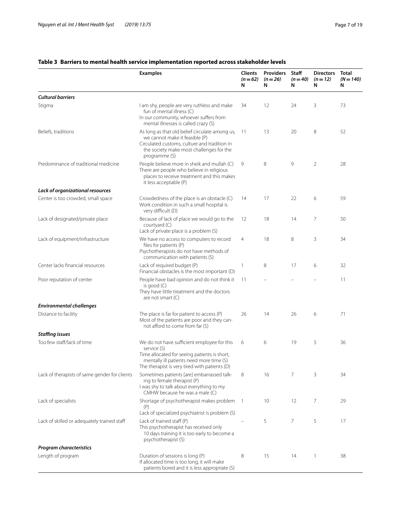## <span id="page-6-0"></span>**Table 3 Barriers to mental health service implementation reported across stakeholder levels**

|                                               | <b>Examples</b>                                                                                                                                                                                         | Clients<br>$(n=62)$<br>N | <b>Providers</b><br>$(n=26)$<br>N | Staff<br>$(n = 40)$<br>N | <b>Directors</b><br>$(n=12)$<br>N | Total<br>$(N = 140)$<br>N |
|-----------------------------------------------|---------------------------------------------------------------------------------------------------------------------------------------------------------------------------------------------------------|--------------------------|-----------------------------------|--------------------------|-----------------------------------|---------------------------|
| <b>Cultural barriers</b>                      |                                                                                                                                                                                                         |                          |                                   |                          |                                   |                           |
| Stigma                                        | I am shy, people are very ruthless and make<br>fun of mental illness (C)<br>In our community, whoever suffers from<br>mental illnesses is called crazy (S)                                              | 34                       | 12                                | 24                       | 3                                 | 73                        |
| Beliefs, traditions                           | As long as that old belief circulate among us,<br>we cannot make it feasible (P)<br>Circulated customs, culture and tradition in<br>the society make most challenges for the<br>programme (S)           | 11                       | 13                                | 20                       | 8                                 | 52                        |
| Predominance of traditional medicine          | People believe more in sheik and mullah (C)<br>There are people who believe in religious<br>places to receive treatment and this makes<br>it less acceptable (P)                                        | 9                        | 8                                 | 9                        | $\overline{2}$                    | 28                        |
| Lack of organizational resources              |                                                                                                                                                                                                         |                          |                                   |                          |                                   |                           |
| Center is too crowded, small space            | Crowdedness of the place is an obstacle (C)<br>Work condition in such a small hospital is<br>very difficult (D)                                                                                         | 14                       | 17                                | 22                       | 6                                 | 59                        |
| Lack of designated/private place              | Because of lack of place we would go to the<br>courtyard $(C)$<br>Lack of private place is a problem (S)                                                                                                | 12                       | 18                                | 14                       | 7                                 | 50                        |
| Lack of equipment/infrastructure              | We have no access to computers to record<br>files for patients (P)<br>Psychotherapists do not have methods of<br>communication with patients (S)                                                        | $\overline{4}$           | 18                                | 8                        | 3                                 | 34                        |
| Center lacks financial resources              | Lack of required budget (P)<br>Financial obstacles is the most important (D)                                                                                                                            | $\mathbf{1}$             | 8                                 | 17                       | 6                                 | 32                        |
| Poor reputation of center                     | People have bad opinion and do not think it<br>is good $(C)$<br>They have little treatment and the doctors<br>are not smart $(C)$                                                                       | 11                       |                                   |                          |                                   | 11                        |
| <b>Environmental challenges</b>               |                                                                                                                                                                                                         |                          |                                   |                          |                                   |                           |
| Distance to facility                          | The place is far for patient to access (P)<br>Most of the patients are poor and they can-<br>not afford to come from far (S)                                                                            | 26                       | 14                                | 26                       | 6                                 | 71                        |
| <b>Staffing issues</b>                        |                                                                                                                                                                                                         |                          |                                   |                          |                                   |                           |
| Too few staff/lack of time                    | We do not have sufficient employee for this<br>service (S)<br>Time allocated for seeing patients is short,<br>mentally ill patients need more time (S)<br>The therapist is very tired with patients (D) | 6                        | 6                                 | 19                       | 5                                 | 36                        |
| Lack of therapists of same gender for clients | Sometimes patients [are] embarrassed talk-<br>ing to female therapist (P)<br>I was shy to talk about everything to my<br>CMHW because he was a male (C)                                                 | 8                        | 16                                | 7                        | 3                                 | 34                        |
| Lack of specialists                           | Shortage of psychotherapist makes problem<br>(P)<br>Lack of specialized psychiatrist is problem (S)                                                                                                     | $\overline{1}$           | 10                                | 12                       | 7                                 | 29                        |
| Lack of skilled or adequately trained staff   | Lack of trained staff (P)<br>This psychotherapist has received only<br>10 days training it is too early to become a<br>psychotherapist (S)                                                              |                          | 5                                 | 7                        | 5                                 | 17                        |
| Program characteristics                       |                                                                                                                                                                                                         |                          |                                   |                          |                                   |                           |
| Length of program                             | Duration of sessions is long (P)<br>If allocated time is too long, it will make<br>patients bored and it is less appropriate (S)                                                                        | 8                        | 15                                | 14                       | $\mathbf{1}$                      | 38                        |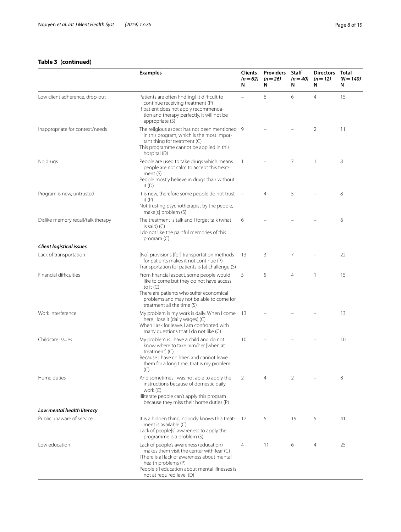## **Table 3 (continued)**

|                                    | <b>Examples</b>                                                                                                                                                                                                                          | <b>Clients</b><br>$(n=62)$<br>N | <b>Providers</b><br>$(n=26)$<br>N | Staff<br>$(n = 40)$<br>N | <b>Directors</b><br>$(n=12)$<br>N | Total<br>$(N = 140)$<br>N |
|------------------------------------|------------------------------------------------------------------------------------------------------------------------------------------------------------------------------------------------------------------------------------------|---------------------------------|-----------------------------------|--------------------------|-----------------------------------|---------------------------|
| Low client adherence, drop-out     | Patients are often find[ing] it difficult to<br>continue receiving treatment (P)<br>If patient does not apply recommenda-<br>tion and therapy perfectly, it will not be<br>appropriate (S)                                               |                                 | 6                                 | 6                        | $\overline{4}$                    | 15                        |
| Inappropriate for context/needs    | The religious aspect has not been mentioned 9<br>in this program, which is the most impor-<br>tant thing for treatment (C)<br>This programme cannot be applied in this<br>hospital (D)                                                   |                                 |                                   |                          | 2                                 | 11                        |
| No drugs                           | People are used to take drugs which means<br>people are not calm to accept this treat-<br>ment (S)<br>People mostly believe in drugs than without<br>it $(D)$                                                                            | $\mathbf{1}$                    |                                   | 7                        | $\mathbf{1}$                      | 8                         |
| Program is new, untrusted          | It is new, therefore some people do not trust<br>it $(P)$<br>Not trusting psychotherapist by the people,<br>make[s] problem (S)                                                                                                          |                                 | $\overline{4}$                    | 5                        |                                   | 8                         |
| Dislike memory recall/talk therapy | The treatment is talk and I forget talk (what<br>is said) $(C)$<br>I do not like the painful memories of this<br>program (C)                                                                                                             | 6                               |                                   |                          |                                   | 6                         |
| <b>Client logistical issues</b>    |                                                                                                                                                                                                                                          |                                 |                                   |                          |                                   |                           |
| Lack of transportation             | [No] provisions [for] transportation methods<br>for patients makes it not continue (P)<br>Transportation for patients is [a] challenge (S)                                                                                               | 13                              | 3                                 | 7                        |                                   | 22                        |
| Financial difficulties             | From financial aspect, some people would<br>like to come but they do not have access<br>to it $(C)$<br>There are patients who suffer economical<br>problems and may not be able to come for<br>treatment all the time (S)                | 5                               | 5                                 | 4                        | $\overline{1}$                    | 15                        |
| Work interference                  | My problem is my work is daily. When I come<br>here I lose it (daily wages) (C)<br>When I ask for leave, I am confronted with<br>many questions that I do not like (C)                                                                   | - 13                            |                                   |                          |                                   | 13                        |
| Childcare issues                   | My problem is I have a child and do not<br>know where to take him/her [when at<br>treatment $(C)$<br>Because I have children and cannot leave<br>them for a long time, that is my problem<br>(C)                                         | 10                              |                                   |                          |                                   | 10                        |
| Home duties                        | And sometimes I was not able to apply the<br>instructions because of domestic daily<br>work $(C)$<br>Illiterate people can't apply this program<br>because they miss their home duties (P)                                               | 2                               | 4                                 | 2                        |                                   | 8                         |
| Low mental health literacy         |                                                                                                                                                                                                                                          |                                 |                                   |                          |                                   |                           |
| Public unaware of service          | It is a hidden thing, nobody knows this treat-                                                                                                                                                                                           | -12                             | 5                                 | 19                       | 5                                 | 41                        |
|                                    | ment is available (C)<br>Lack of people[s] awareness to apply the<br>programme is a problem (S)                                                                                                                                          |                                 |                                   |                          |                                   |                           |
| I ow education                     | Lack of people's awareness (education)<br>makes them visit the center with fear (C)<br>[There is a] lack of awareness about mental<br>health problems (P)<br>People[s'] education about mental illnesses is<br>not at required level (D) | $\overline{4}$                  | 11                                | 6                        | $\overline{4}$                    | 25                        |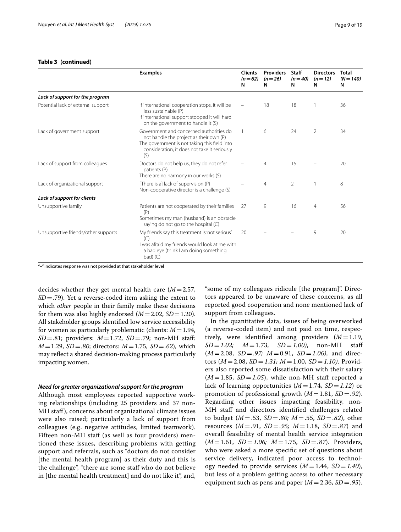#### **Table 3 (continued)**

|                                     | <b>Examples</b>                                                                                                                                                                           | <b>Clients</b><br>$(n=62)$<br>N | <b>Providers</b><br>$(n=26)$<br>N | Staff<br>$(n=40)$<br>N | <b>Directors</b><br>$(n=12)$<br>N | <b>Total</b><br>$(N = 140)$<br>N |
|-------------------------------------|-------------------------------------------------------------------------------------------------------------------------------------------------------------------------------------------|---------------------------------|-----------------------------------|------------------------|-----------------------------------|----------------------------------|
| Lack of support for the program     |                                                                                                                                                                                           |                                 |                                   |                        |                                   |                                  |
| Potential lack of external support  | If international cooperation stops, it will be<br>less sustainable (P)<br>If international support stopped it will hard<br>on the government to handle it (S)                             |                                 | 18                                | 18                     |                                   | 36                               |
| Lack of government support          | Government and concerned authorities do<br>not handle the project as their own (P)<br>The government is not taking this field into<br>consideration, it does not take it seriously<br>(S) |                                 | 6                                 | 24                     | $\mathcal{P}$                     | 34                               |
| Lack of support from colleagues     | Doctors do not help us, they do not refer<br>patients (P)<br>There are no harmony in our works (S)                                                                                        |                                 | $\overline{4}$                    | 15                     |                                   | 20                               |
| Lack of organizational support      | [There is a] lack of supervision (P)<br>Non-cooperative director is a challenge (S)                                                                                                       |                                 | $\overline{4}$                    | $\overline{2}$         |                                   | 8                                |
| Lack of support for clients         |                                                                                                                                                                                           |                                 |                                   |                        |                                   |                                  |
| Unsupportive family                 | Patients are not cooperated by their families<br>(P)<br>Sometimes my man (husband) is an obstacle<br>saying do not go to the hospital (C)                                                 | 27                              | 9                                 | 16                     | $\overline{4}$                    | 56                               |
| Unsupportive friends/other supports | My friends say this treatment is 'not serious'<br>I was afraid my friends would look at me with<br>a bad eye (think I am doing something<br>$bad)$ (C)                                    | 20                              |                                   |                        | $\mathsf{Q}$                      | 20                               |

"–" indicates response was not provided at that stakeholder level

decides whether they get mental health care (*M*=2.57, *SD*=.79). Yet a reverse-coded item asking the extent to which *other* people in their family make these decisions for them was also highly endorsed  $(M=2.02, SD=1.20)$ . All stakeholder groups identifed low service accessibility for women as particularly problematic (clients: *M*=1.94, *SD*=.81; providers: *M*=1.72, *SD*=.79; non-MH staf: *M*=1.29, *SD*=*.80*; directors: *M*=1.75, *SD*=*.62*), which may refect a shared decision-making process particularly impacting women.

#### *Need for greater organizational support for the program*

Although most employees reported supportive working relationships (including 25 providers and 37 non-MH staff), concerns about organizational climate issues were also raised; particularly a lack of support from colleagues (e.g. negative attitudes, limited teamwork). Fifteen non-MH staff (as well as four providers) mentioned these issues, describing problems with getting support and referrals, such as "doctors do not consider [the mental health program] as their duty and this is the challenge", "there are some staf who do not believe in [the mental health treatment] and do not like it", and,

"some of my colleagues ridicule [the program]". Directors appeared to be unaware of these concerns, as all reported good cooperation and none mentioned lack of support from colleagues.

In the quantitative data, issues of being overworked (a reverse-coded item) and not paid on time, respectively, were identified among providers  $(M=1.19, SD=1.02; M=1.73, SD=1.00)$ , non-MH staff  $SD = 1.00$ ), non-MH (*M*=2.08, *SD*=*.97; M*=0.91, *SD*=*1.06)*, and directors (*M*=2.08, *SD*=*1.31; M*=1.00, *SD*=*1.10)*. Providers also reported some dissatisfaction with their salary  $(M=1.85, SD=1.05)$ , while non-MH staff reported a lack of learning opportunities ( $M = 1.74$ ,  $SD = 1.12$ ) or promotion of professional growth (*M*=1.81, *SD*=*.92*). Regarding other issues impacting feasibility, non-MH staff and directors identified challenges related to budget (*M*=.53, *SD*=*.80; M*=.55, *SD*=*.82*), other resources (*M*=.91, *SD*=*.95; M*=1.18, *SD*=*.87*) and overall feasibility of mental health service integration (*M*=1.61, *SD*=*1.06; M*=1.75, *SD*=*.87*). Providers, who were asked a more specifc set of questions about service delivery, indicated poor access to technology needed to provide services  $(M=1.44, SD=1.40)$ , but less of a problem getting access to other necessary equipment such as pens and paper (*M*=2.36, *SD*=*.95*).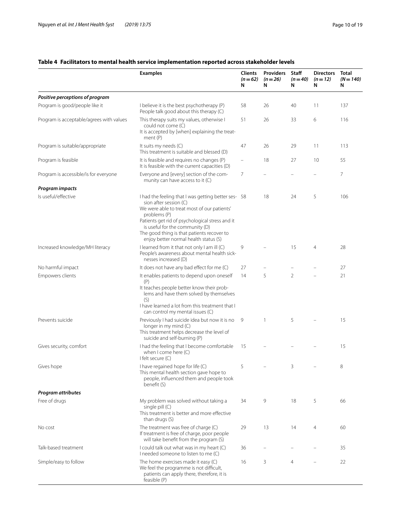## <span id="page-9-0"></span>**Table 4 Facilitators to mental health service implementation reported across stakeholder levels**

|                                          | <b>Examples</b>                                                                                                                                                                                                                                                                                                           | <b>Clients</b><br>$(n=62)$<br>N | <b>Providers</b><br>$(n = 26)$<br>N | Staff<br>$(n = 40)$<br>N | <b>Directors</b><br>$(n=12)$<br>N | Total<br>$(N = 140)$<br>N |
|------------------------------------------|---------------------------------------------------------------------------------------------------------------------------------------------------------------------------------------------------------------------------------------------------------------------------------------------------------------------------|---------------------------------|-------------------------------------|--------------------------|-----------------------------------|---------------------------|
| Positive perceptions of program          |                                                                                                                                                                                                                                                                                                                           |                                 |                                     |                          |                                   |                           |
| Program is good/people like it           | I believe it is the best psychotherapy (P)<br>People talk good about this therapy (C)                                                                                                                                                                                                                                     | 58                              | 26                                  | 40                       | 11                                | 137                       |
| Program is acceptable/agrees with values | This therapy suits my values, otherwise I<br>could not come (C)<br>It is accepted by [when] explaining the treat-<br>ment(P)                                                                                                                                                                                              | 51                              | 26                                  | 33                       | 6                                 | 116                       |
| Program is suitable/appropriate          | It suits my needs (C)<br>This treatment is suitable and blessed (D)                                                                                                                                                                                                                                                       | 47                              | 26                                  | 29                       | 11                                | 113                       |
| Program is feasible                      | It is feasible and requires no changes (P)<br>It is feasible with the current capacities (D)                                                                                                                                                                                                                              |                                 | 18                                  | 27                       | 10                                | 55                        |
| Program is accessible/is for everyone    | Everyone and [every] section of the com-<br>munity can have access to it (C)                                                                                                                                                                                                                                              | 7                               |                                     |                          |                                   | 7                         |
| Program impacts                          |                                                                                                                                                                                                                                                                                                                           |                                 |                                     |                          |                                   |                           |
| Is useful/effective                      | I had the feeling that I was getting better ses- 58<br>sion after session (C)<br>We were able to treat most of our patients'<br>problems (P)<br>Patients get rid of psychological stress and it<br>is useful for the community (D)<br>The good thing is that patients recover to<br>enjoy better normal health status (S) |                                 | 18                                  | 24                       | 5                                 | 106                       |
| Increased knowledge/MH literacy          | I learned from it that not only I am ill (C)<br>People's awareness about mental health sick-<br>nesses increased (D)                                                                                                                                                                                                      | 9                               |                                     | 15                       | $\overline{4}$                    | 28                        |
| No harmful impact                        | It does not have any bad effect for me (C)                                                                                                                                                                                                                                                                                | 27                              |                                     |                          |                                   | 27                        |
| Empowers clients                         | It enables patients to depend upon oneself<br>(P)<br>It teaches people better know their prob-<br>lems and have them solved by themselves<br>(S)<br>I have learned a lot from this treatment that I<br>can control my mental issues (C)                                                                                   | 14                              | 5                                   | $\overline{2}$           |                                   | 21                        |
| Prevents suicide                         | Previously I had suicide idea but now it is no<br>longer in my mind $(C)$<br>This treatment helps decrease the level of<br>suicide and self-burning (P)                                                                                                                                                                   | 9                               | $\mathbf{1}$                        | 5                        |                                   | 15                        |
| Gives security, comfort                  | I had the feeling that I become comfortable<br>when I come here $(C)$<br>I felt secure (C)                                                                                                                                                                                                                                | 15                              |                                     |                          |                                   | 15                        |
| Gives hope                               | I have regained hope for life (C)<br>This mental health section gave hope to<br>people, influenced them and people took<br>benefit (S)                                                                                                                                                                                    | 5                               |                                     | 3                        |                                   | 8                         |
| Program attributes                       |                                                                                                                                                                                                                                                                                                                           |                                 |                                     |                          |                                   |                           |
| Free of drugs                            | My problem was solved without taking a<br>single pill (C)<br>This treatment is better and more effective<br>than drugs (S)                                                                                                                                                                                                | 34                              | 9                                   | 18                       | 5                                 | 66                        |
| No cost                                  | The treatment was free of charge (C)<br>If treatment is free of charge, poor people<br>will take benefit from the program (S)                                                                                                                                                                                             | 29                              | 13                                  | 14                       | $\overline{4}$                    | 60                        |
| Talk-based treatment                     | I could talk out what was in my heart (C)<br>I needed someone to listen to me (C)                                                                                                                                                                                                                                         | 36                              |                                     |                          |                                   | 35                        |
| Simple/easy to follow                    | The home exercises made it easy (C)<br>We feel the programme is not difficult,<br>patients can apply there, therefore, it is<br>feasible (P)                                                                                                                                                                              | 16                              | 3                                   | $\overline{4}$           |                                   | 22                        |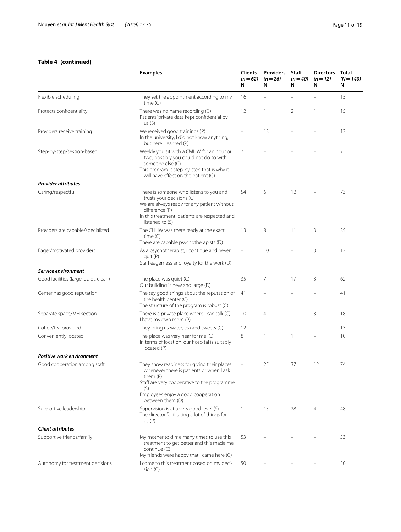## **Table 4 (continued)**

|                                       | <b>Examples</b>                                                                                                                                                                                                       | <b>Clients</b><br>$(n=62)$<br>N | <b>Providers</b><br>$(n=26)$<br>N | Staff<br>$(n = 40)$<br>N | <b>Directors</b><br>$(n=12)$<br>N | <b>Total</b><br>$(N = 140)$<br>N |
|---------------------------------------|-----------------------------------------------------------------------------------------------------------------------------------------------------------------------------------------------------------------------|---------------------------------|-----------------------------------|--------------------------|-----------------------------------|----------------------------------|
| Flexible scheduling                   | They set the appointment according to my<br>time $(C)$                                                                                                                                                                | 16                              | ÷                                 | ÷                        |                                   | 15                               |
| Protects confidentiality              | There was no name recording (C)<br>Patients' private data kept confidential by<br>us(S)                                                                                                                               | 12                              | 1                                 | 2                        | 1                                 | 15                               |
| Providers receive training            | We received good trainings (P)<br>In the university, I did not know anything,<br>but here I learned (P)                                                                                                               |                                 | 13                                |                          |                                   | 13                               |
| Step-by-step/session-based            | Weekly you sit with a CMHW for an hour or<br>two; possibly you could not do so with<br>someone else (C)<br>This program is step-by-step that is why it<br>will have effect on the patient (C)                         | 7                               |                                   |                          |                                   | 7                                |
| <b>Provider attributes</b>            |                                                                                                                                                                                                                       |                                 |                                   |                          |                                   |                                  |
| Caring/respectful                     | There is someone who listens to you and<br>trusts your decisions (C)<br>We are always ready for any patient without<br>difference (P)<br>In this treatment, patients are respected and<br>listened to (S)             | 54                              | 6                                 | 12                       |                                   | 73                               |
| Providers are capable/specialized     | The CHHW was there ready at the exact<br>time $(C)$<br>There are capable psychotherapists (D)                                                                                                                         | 13                              | 8                                 | 11                       | 3                                 | 35                               |
| Eager/motivated providers             | As a psychotherapist, I continue and never<br>quit (P)<br>Staff eagerness and loyalty for the work (D)                                                                                                                | $\overline{\phantom{0}}$        | 10                                |                          | 3                                 | 13                               |
| Service environment                   |                                                                                                                                                                                                                       |                                 |                                   |                          |                                   |                                  |
| Good facilities (large, quiet, clean) | The place was quiet (C)<br>Our building is new and large (D)                                                                                                                                                          | 35                              | 7                                 | 17                       | 3                                 | 62                               |
| Center has good reputation            | The say good things about the reputation of<br>the health center $(C)$<br>The structure of the program is robust (C)                                                                                                  | 41                              |                                   |                          |                                   | 41                               |
| Separate space/MH section             | There is a private place where I can talk (C)<br>I have my own room (P)                                                                                                                                               | 10                              | $\overline{4}$                    |                          | 3                                 | 18                               |
| Coffee/tea provided                   | They bring us water, tea and sweets (C)                                                                                                                                                                               | 12                              |                                   |                          |                                   | 13                               |
| Conveniently located                  | The place was very near for me (C)<br>In terms of location, our hospital is suitably<br>located (P)                                                                                                                   | 8                               | 1                                 | 1                        |                                   | 10                               |
| <b>Positive work environment</b>      |                                                                                                                                                                                                                       |                                 |                                   |                          |                                   |                                  |
| Good cooperation among staff          | They show readiness for giving their places<br>whenever there is patients or when I ask<br>them $(P)$<br>Staff are very cooperative to the programme<br>(S)<br>Employees enjoy a good cooperation<br>between them (D) |                                 | 25                                | 37                       | 12                                | 74                               |
| Supportive leadership                 | Supervision is at a very good level (S)<br>The director facilitating a lot of things for                                                                                                                              | $\mathbf{1}$                    | 15                                | 28                       | $\overline{4}$                    | 48                               |
| <b>Client attributes</b>              | us(P)                                                                                                                                                                                                                 |                                 |                                   |                          |                                   |                                  |
| Supportive friends/family             | My mother told me many times to use this<br>treatment to get better and this made me<br>continue (C)<br>My friends were happy that I came here (C)                                                                    | 53                              |                                   |                          |                                   | 53                               |
| Autonomy for treatment decisions      | I come to this treatment based on my deci-<br>sion(C)                                                                                                                                                                 | 50                              |                                   |                          |                                   | 50                               |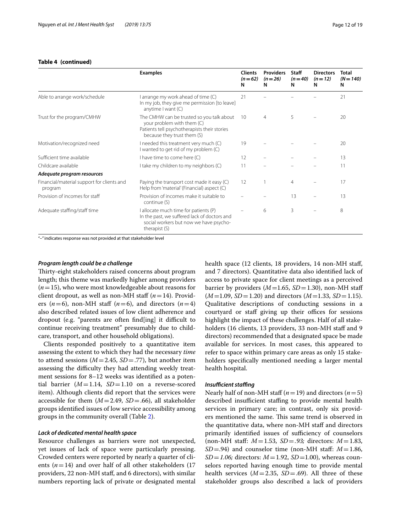#### **Table 4 (continued)**

|                                                       | <b>Examples</b>                                                                                                                                        | <b>Clients</b><br>$(n=62)$<br>N | <b>Providers</b><br>$(n=26)$<br>N | Staff<br>$(n = 40)$<br>N | <b>Directors</b><br>$(n=12)$<br>N | <b>Total</b><br>$(N = 140)$<br>N |
|-------------------------------------------------------|--------------------------------------------------------------------------------------------------------------------------------------------------------|---------------------------------|-----------------------------------|--------------------------|-----------------------------------|----------------------------------|
| Able to arrange work/schedule                         | I arrange my work ahead of time (C)<br>In my job, they give me permission [to leave]<br>anytime I want $(C)$                                           | 21                              |                                   |                          |                                   | 21                               |
| Trust for the program/CMHW                            | The CMHW can be trusted so you talk about<br>your problem with them (C)<br>Patients tell psychotherapists their stories<br>because they trust them (S) | 10 <sup>2</sup>                 | $\overline{4}$                    | 5                        |                                   | 20                               |
| Motivation/recognized need                            | I needed this treatment very much (C)<br>I wanted to get rid of my problem (C)                                                                         | 19                              |                                   |                          |                                   | 20                               |
| Sufficient time available                             | I have time to come here (C)                                                                                                                           | 12                              |                                   |                          |                                   | 13                               |
| Childcare available                                   | I take my children to my neighbors (C)                                                                                                                 | 11                              |                                   |                          |                                   | 11                               |
| Adequate program resources                            |                                                                                                                                                        |                                 |                                   |                          |                                   |                                  |
| Financial/material support for clients and<br>program | Paying the transport cost made it easy (C)<br>Help from 'material' (Financial) aspect (C)                                                              | 12                              |                                   | $\overline{4}$           |                                   | 17                               |
| Provision of incomes for staff                        | Provision of incomes make it suitable to<br>continue (S)                                                                                               |                                 |                                   | 13                       |                                   | 13                               |
| Adequate staffing/staff time                          | allocate much time for patients (P)<br>In the past, we suffered lack of doctors and<br>social workers but now we have psycho-<br>therapist (S)         |                                 | 6                                 | 3                        |                                   | 8                                |

"–" indicates response was not provided at that stakeholder level

#### *Program length could be a challenge*

Thirty-eight stakeholders raised concerns about program length; this theme was markedly higher among providers (*n*=15), who were most knowledgeable about reasons for client dropout, as well as non-MH staff  $(n=14)$ . Providers  $(n=6)$ , non-MH staff  $(n=6)$ , and directors  $(n=4)$ also described related issues of low client adherence and dropout (e.g. "parents are often find[ing] it difficult to continue receiving treatment" presumably due to childcare, transport, and other household obligations).

Clients responded positively to a quantitative item assessing the extent to which they had the necessary *time* to attend sessions (*M*=2.45, *SD*=.77), but another item assessing the difficulty they had attending weekly treatment sessions for 8–12 weeks was identifed as a potential barrier  $(M=1.14, SD=1.10$  on a reverse-scored item). Although clients did report that the services were accessible for them (*M*=2.49, *SD*=.66), all stakeholder groups identifed issues of low service accessibility among groups in the community overall (Table [2\)](#page-5-0).

## *Lack of dedicated mental health space*

Resource challenges as barriers were not unexpected, yet issues of lack of space were particularly pressing. Crowded centers were reported by nearly a quarter of clients  $(n=14)$  and over half of all other stakeholders (17) providers, 22 non-MH staf, and 6 directors), with similar numbers reporting lack of private or designated mental health space (12 clients, 18 providers, 14 non-MH staff, and 7 directors). Quantitative data also identifed lack of access to private space for client meetings as a perceived barrier by providers  $(M=1.65, SD=1.30)$ , non-MH staff (*M*=1.09, *SD*=1.20) and directors (*M*=1.33, *SD*=1.15). Qualitative descriptions of conducting sessions in a courtyard or staff giving up their offices for sessions highlight the impact of these challenges. Half of all stakeholders (16 clients, 13 providers, 33 non-MH staff and 9 directors) recommended that a designated space be made available for services. In most cases, this appeared to refer to space within primary care areas as only 15 stakeholders specifcally mentioned needing a larger mental health hospital.

#### *Insufficient staffing*

Nearly half of non-MH staff ( $n=19$ ) and directors ( $n=5$ ) described insufficient staffing to provide mental health services in primary care; in contrast, only six providers mentioned the same. This same trend is observed in the quantitative data, where non-MH staff and directors primarily identified issues of sufficiency of counselors (non-MH staf: *M*=1.53, *SD*=*.93;* directors: *M*=1.83, *SD*=.94) and counselor time (non-MH staff:  $M=1.86$ , *SD*=*1.06;* directors: *M*=1.92, *SD*=1.00), whereas counselors reported having enough time to provide mental health services  $(M=2.35, SD=.69)$ . All three of these stakeholder groups also described a lack of providers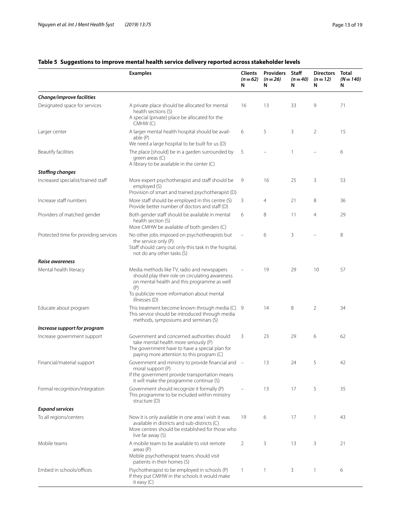#### **Examples Clients** *(n***=***62)* **N Providers** *(n***=***26)* **N Staf**  $(n = 40)$ **N Directors** *(n***=***12)* **N Total** *(N***=***140)* **N** *Change/improve facilities* Designated space for services A private place should be allocated for mental health sections (S) A special (private) place be allocated for the CMHW (C) 16 13 33 9 71 Larger center **A** larger mental health hospital should be available (P) We need a large hospital to be built for us (D) 6 5 3 2 15 Beautify facilities The place [should] be in a garden surrounded by green areas (C) A library to be available in the center (C) 5 – 1 – 6 *Stafng changes* Increased specialist/trained staff More expert psychotherapist and staff should be employed (S) Provision of smart and trained psychotherapist (D) 9 16 25 3 53 Increase staff numbers More staff should be employed in this centre (S) Provide better number of doctors and staff (D) 3 4 21 8 36 Providers of matched gender Both gender staff should be available in mental health section (S) More CMHW be available of both genders (C) 6 8 11 4 29 Protected time for providing services No other jobs imposed on psychotherapists but the service only (P) Staff should carry out only this task in the hospital, not do any other tasks (S) – 6 3 – 8 *Raise awareness* Mental health literacy Media methods like TV, radio and newspapers should play their role on circulating awareness on mental health and this programme as well (P) To publicize more information about mental illnesses (D) – 19 29 10 57 Educate about program This treatment become known through media (C) 9 This service should be introduced through media methods, symposiums and seminars (S) 9 14 8 2 34 *Increase support for program* Increase government support Government and concerned authorities should take mental health more seriously (P) The government have to have a special plan for paying more attention to this program (C) 3 23 29 6 62 Financial/material support Government and ministry to provide financial and moral support (P) If the government provide transportation means it will make the programme continue (S) – 13 24 5 42 Formal recognition/integration Government should recognize it formally (P) This programme to be included within ministry structure (D) – 13 17 5 35 *Expand services* To all regions/centers **Now it is only available in one area I wish it was** available in districts and sub-districts (C) More centres should be established for those who live far away (S) 19 6 17 1 43 Mobile teams Mobile team to be available to visit remote areas (P) Mobile psychotherapist teams should visit patients in their homes (S) 2 3 13 3 21 Embed in schools/offices Psychotherapist to be employed in schools (P) If they put CMHW in the schools it would make it easy (C) 1 1 3 1 6

#### <span id="page-12-0"></span>**Table 5 Suggestions to improve mental health service delivery reported across stakeholder levels**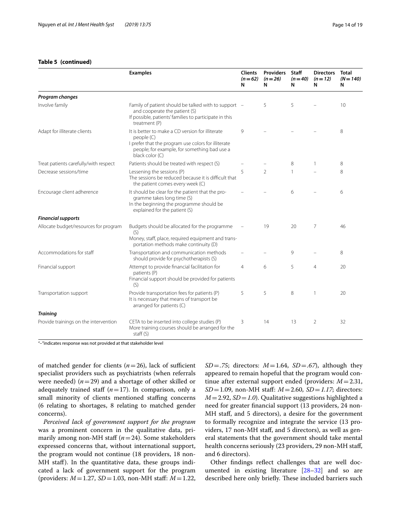#### **Table 5 (continued)**

|                                       | <b>Examples</b>                                                                                                                                                                          | <b>Clients</b><br>$(n=62)$<br>N | <b>Providers</b><br>$(n=26)$<br>N | Staff<br>$(n = 40)$<br>N | <b>Directors</b><br>$(n=12)$<br>N | <b>Total</b><br>$(N = 140)$<br>N |
|---------------------------------------|------------------------------------------------------------------------------------------------------------------------------------------------------------------------------------------|---------------------------------|-----------------------------------|--------------------------|-----------------------------------|----------------------------------|
| Program changes                       |                                                                                                                                                                                          |                                 |                                   |                          |                                   |                                  |
| Involve family                        | Family of patient should be talked with to support -<br>and cooperate the patient (S)<br>If possible, patients' families to participate in this<br>treatment (P)                         |                                 | 5                                 | 5                        |                                   | 10                               |
| Adapt for illiterate clients          | It is better to make a CD version for illiterate<br>people (C)<br>I prefer that the program use colors for illiterate<br>people; for example, for something bad use a<br>black color (C) | 9                               |                                   |                          |                                   | 8                                |
| Treat patients carefully/with respect | Patients should be treated with respect (S)                                                                                                                                              |                                 |                                   | 8                        |                                   | 8                                |
| Decrease sessions/time                | Lessening the sessions (P)<br>The sessions be reduced because it is difficult that<br>the patient comes every week (C)                                                                   | 5                               | $\mathfrak{D}$                    | 1                        |                                   | 8                                |
| Encourage client adherence            | It should be clear for the patient that the pro-<br>gramme takes long time (S)<br>In the beginning the programme should be<br>explained for the patient (S)                              |                                 |                                   | 6                        |                                   | 6                                |
| <b>Financial supports</b>             |                                                                                                                                                                                          |                                 |                                   |                          |                                   |                                  |
| Allocate budget/resources for program | Budgets should be allocated for the programme<br>(S)<br>Money, staff, place, required equipment and trans-<br>portation methods make continuity (D)                                      |                                 | 19                                | 20                       | 7                                 | 46                               |
| Accommodations for staff              | Transportation and communication methods<br>should provide for psychotherapists (S)                                                                                                      |                                 |                                   | 9                        |                                   | 8                                |
| Financial support                     | Attempt to provide financial facilitation for<br>patients (P)<br>Financial support should be provided for patients<br>(S)                                                                | 4                               | 6                                 | 5                        | 4                                 | 20                               |
| Transportation support                | Provide transportation fees for patients (P)<br>It is necessary that means of transport be<br>arranged for patients (C)                                                                  | 5                               | 5                                 | 8                        | $\mathbf{1}$                      | 20                               |
| <b>Training</b>                       |                                                                                                                                                                                          |                                 |                                   |                          |                                   |                                  |
| Provide trainings on the intervention | CETA to be inserted into college studies (P)<br>More training courses should be arranged for the<br>staff $(S)$                                                                          | 3                               | 14                                | 13                       | $\overline{2}$                    | 32                               |

"–"indicates response was not provided at that stakeholder level

of matched gender for clients  $(n=26)$ , lack of sufficient specialist providers such as psychiatrists (when referrals were needed) (*n*=29) and a shortage of other skilled or adequately trained staff  $(n=17)$ . In comparison, only a small minority of clients mentioned staffing concerns (6 relating to shortages, 8 relating to matched gender concerns).

*Perceived lack of government support for the program* was a prominent concern in the qualitative data, primarily among non-MH staff  $(n=24)$ . Some stakeholders expressed concerns that, without international support, the program would not continue (18 providers, 18 non-MH staf). In the quantitative data, these groups indicated a lack of government support for the program (providers: *M*=1.27, *SD*=1.03, non-MH staf: *M*=1.22, *SD*=*.75*; directors: *M*=1.64, *SD*=*.67*), although they appeared to remain hopeful that the program would continue after external support ended (providers: *M*=2.31, *SD*=1.09, non-MH staf: *M*=2.60, *SD*=*1.17*; directors: *M*=2.92, *SD*=*1.0*). Qualitative suggestions highlighted a need for greater fnancial support (13 providers, 24 non-MH staf, and 5 directors), a desire for the government to formally recognize and integrate the service (13 providers, 17 non-MH staf, and 5 directors), as well as general statements that the government should take mental health concerns seriously (23 providers, 29 non-MH staff, and 6 directors).

Other fndings refect challenges that are well documented in existing literature [\[28–](#page-17-26)[32\]](#page-17-27) and so are described here only briefly. These included barriers such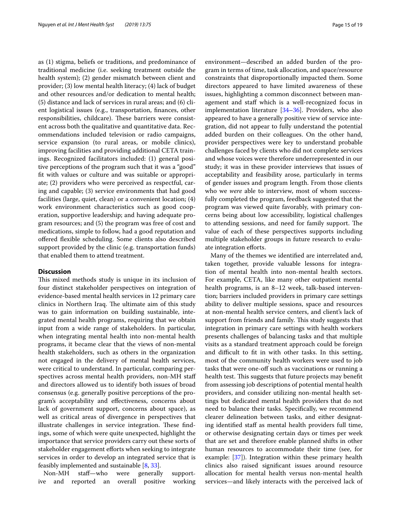as (1) stigma, beliefs or traditions, and predominance of traditional medicine (i.e. seeking treatment outside the health system); (2) gender mismatch between client and provider; (3) low mental health literacy; (4) lack of budget and other resources and/or dedication to mental health; (5) distance and lack of services in rural areas; and (6) client logistical issues (e.g., transportation, fnances, other responsibilities, childcare). These barriers were consistent across both the qualitative and quantitative data. Recommendations included television or radio campaigns, service expansion (to rural areas, or mobile clinics), improving facilities and providing additional CETA trainings. Recognized facilitators included: (1) general positive perceptions of the program such that it was a "good" ft with values or culture and was suitable or appropriate; (2) providers who were perceived as respectful, caring and capable; (3) service environments that had good facilities (large, quiet, clean) or a convenient location; (4) work environment characteristics such as good cooperation, supportive leadership; and having adequate program resources; and (5) the program was free of cost and medications, simple to follow, had a good reputation and ofered fexible scheduling. Some clients also described support provided by the clinic (e.g. transportation funds) that enabled them to attend treatment.

#### **Discussion**

This mixed methods study is unique in its inclusion of four distinct stakeholder perspectives on integration of evidence-based mental health services in 12 primary care clinics in Northern Iraq. The ultimate aim of this study was to gain information on building sustainable, integrated mental health programs, requiring that we obtain input from a wide range of stakeholders. In particular, when integrating mental health into non-mental health programs, it became clear that the views of non-mental health stakeholders, such as others in the organization not engaged in the delivery of mental health services, were critical to understand. In particular, comparing perspectives across mental health providers, non-MH staf and directors allowed us to identify both issues of broad consensus (e.g. generally positive perceptions of the program's acceptability and efectiveness, concerns about lack of government support, concerns about space), as well as critical areas of divergence in perspectives that illustrate challenges in service integration. These findings, some of which were quite unexpected, highlight the importance that service providers carry out these sorts of stakeholder engagement efforts when seeking to integrate services in order to develop an integrated service that is feasibly implemented and sustainable [\[8](#page-17-7), [33\]](#page-17-28).

Non-MH staf—who were generally supportive and reported an overall positive working environment—described an added burden of the program in terms of time, task allocation, and space/resource constraints that disproportionally impacted them. Some directors appeared to have limited awareness of these issues, highlighting a common disconnect between management and staff which is a well-recognized focus in implementation literature [\[34](#page-17-29)[–36](#page-18-0)]. Providers, who also appeared to have a generally positive view of service integration, did not appear to fully understand the potential added burden on their colleagues. On the other hand, provider perspectives were key to understand probable challenges faced by clients who did not complete services and whose voices were therefore underrepresented in our study; it was in these provider interviews that issues of acceptability and feasibility arose, particularly in terms of gender issues and program length. From those clients who we *were* able to interview, most of whom successfully completed the program, feedback suggested that the program was viewed quite favorably, with primary concerns being about low accessibility, logistical challenges to attending sessions, and need for family support. The value of each of these perspectives supports including multiple stakeholder groups in future research to evaluate integration efforts.

Many of the themes we identifed are interrelated and, taken together, provide valuable lessons for integration of mental health into non-mental health sectors. For example, CETA, like many other outpatient mental health programs, is an 8–12 week, talk-based intervention; barriers included providers in primary care settings ability to deliver multiple sessions, space and resources at non-mental health service centers, and client's lack of support from friends and family. This study suggests that integration in primary care settings with health workers presents challenges of balancing tasks and that multiple visits as a standard treatment approach could be foreign and difficult to fit in with other tasks. In this setting, most of the community health workers were used to job tasks that were one-of such as vaccinations or running a health test. This suggests that future projects may benefit from assessing job descriptions of potential mental health providers, and consider utilizing non-mental health settings but dedicated mental health providers that do not need to balance their tasks. Specifcally, we recommend clearer delineation between tasks, and either designating identified staff as mental health providers full time, or otherwise designating certain days or times per week that are set and therefore enable planned shifts in other human resources to accommodate their time (see, for example: [\[37](#page-18-1)]). Integration within these primary health clinics also raised signifcant issues around resource allocation for mental health versus non-mental health services—and likely interacts with the perceived lack of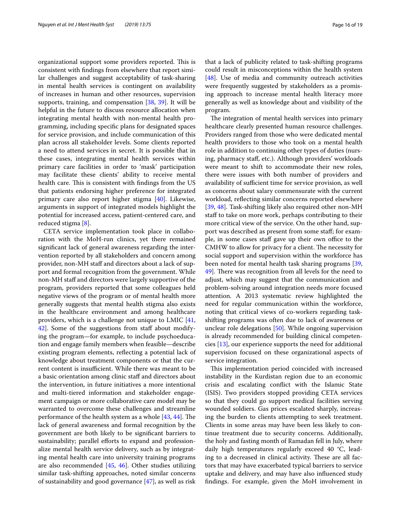organizational support some providers reported. This is consistent with fndings from elsewhere that report similar challenges and suggest acceptability of task-sharing in mental health services is contingent on availability of increases in human and other resources, supervision supports, training, and compensation [\[38](#page-18-2), [39](#page-18-3)]. It will be helpful in the future to discuss resource allocation when integrating mental health with non-mental health programming, including specifc plans for designated spaces for service provision, and include communication of this plan across all stakeholder levels. Some clients reported a need to attend services in secret. It is possible that in these cases, integrating mental health services within primary care facilities in order to 'mask' participation may facilitate these clients' ability to receive mental health care. This is consistent with findings from the US that patients endorsing higher preference for integrated primary care also report higher stigma [[40\]](#page-18-4). Likewise, arguments in support of integrated models highlight the potential for increased access, patient-centered care, and reduced stigma [[8\]](#page-17-7).

CETA service implementation took place in collaboration with the MoH-run clinics, yet there remained signifcant lack of general awareness regarding the intervention reported by all stakeholders and concern among provider, non-MH staff and directors about a lack of support and formal recognition from the government. While non-MH staff and directors were largely supportive of the program, providers reported that some colleagues held negative views of the program or of mental health more generally suggests that mental health stigma also exists in the healthcare environment and among healthcare providers, which is a challenge not unique to LMIC  $[41, 6]$  $[41, 6]$ [42\]](#page-18-6). Some of the suggestions from staff about modifying the program—for example, to include psychoeducation and engage family members when feasible—describe existing program elements, refecting a potential lack of knowledge about treatment components or that the current content is insufficient. While there was meant to be a basic orientation among clinic staf and directors about the intervention, in future initiatives a more intentional and multi-tiered information and stakeholder engagement campaign or more collaborative care model may be warranted to overcome these challenges and streamline performance of the health system as a whole  $[43, 44]$  $[43, 44]$  $[43, 44]$  $[43, 44]$ . The lack of general awareness and formal recognition by the government are both likely to be signifcant barriers to sustainability; parallel efforts to expand and professionalize mental health service delivery, such as by integrating mental health care into university training programs are also recommended [\[45,](#page-18-9) [46](#page-18-10)]. Other studies utilizing similar task-shifting approaches, noted similar concerns of sustainability and good governance [[47\]](#page-18-11), as well as risk that a lack of publicity related to task-shifting programs could result in misconceptions within the health system [[48\]](#page-18-12). Use of media and community outreach activities were frequently suggested by stakeholders as a promising approach to increase mental health literacy more generally as well as knowledge about and visibility of the program.

The integration of mental health services into primary healthcare clearly presented human resource challenges. Providers ranged from those who were dedicated mental health providers to those who took on a mental health role in addition to continuing other types of duties (nursing, pharmacy staf, etc.). Although providers' workloads were meant to shift to accommodate their new roles, there were issues with both number of providers and availability of sufficient time for service provision, as well as concerns about salary commensurate with the current workload, refecting similar concerns reported elsewhere [[39,](#page-18-3) [48\]](#page-18-12). Task-shifting likely also required other non-MH staff to take on more work, perhaps contributing to their more critical view of the service. On the other hand, support was described as present from some staf; for example, in some cases staff gave up their own office to the CMHW to allow for privacy for a client. The necessity for social support and supervision within the workforce has been noted for mental health task sharing programs [[39](#page-18-3), [49\]](#page-18-13). There was recognition from all levels for the need to adjust, which may suggest that the communication and problem-solving around integration needs more focused attention. A 2013 systematic review highlighted the need for regular communication within the workforce, noting that critical views of co-workers regarding taskshifting programs was often due to lack of awareness or unclear role delegations [\[50\]](#page-18-14). While ongoing supervision is already recommended for building clinical competencies [[13\]](#page-17-11), our experience supports the need for additional supervision focused on these organizational aspects of service integration.

This implementation period coincided with increased instability in the Kurdistan region due to an economic crisis and escalating confict with the Islamic State (ISIS). Two providers stopped providing CETA services so that they could go support medical facilities serving wounded soldiers. Gas prices escalated sharply, increasing the burden to clients attempting to seek treatment. Clients in some areas may have been less likely to continue treatment due to security concerns. Additionally, the holy and fasting month of Ramadan fell in July, where daily high temperatures regularly exceed 40 °C, leading to a decreased in clinical activity. These are all factors that may have exacerbated typical barriers to service uptake and delivery, and may have also infuenced study fndings. For example, given the MoH involvement in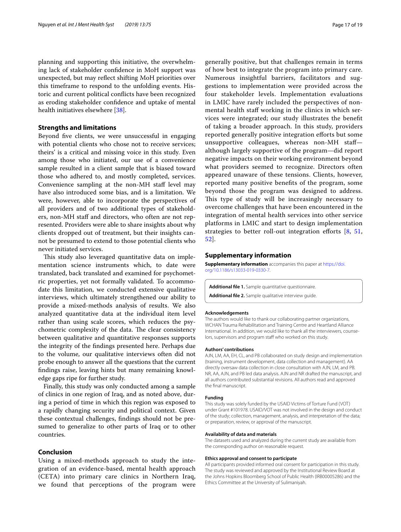planning and supporting this initiative, the overwhelming lack of stakeholder confdence in MoH support was unexpected, but may refect shifting MoH priorities over this timeframe to respond to the unfolding events. Historic and current political conficts have been recognized as eroding stakeholder confdence and uptake of mental health initiatives elsewhere [[38](#page-18-2)].

#### **Strengths and limitations**

Beyond fve clients, we were unsuccessful in engaging with potential clients who chose not to receive services; theirs' is a critical and missing voice in this study. Even among those who initiated, our use of a convenience sample resulted in a client sample that is biased toward those who adhered to, and mostly completed, services. Convenience sampling at the non-MH staff level may have also introduced some bias, and is a limitation. We were, however, able to incorporate the perspectives of all providers and of two additional types of stakeholders, non-MH staff and directors, who often are not represented. Providers were able to share insights about why clients dropped out of treatment, but their insights cannot be presumed to extend to those potential clients who never initiated services.

This study also leveraged quantitative data on implementation science instruments which, to date were translated, back translated and examined for psychometric properties, yet not formally validated. To accommodate this limitation, we conducted extensive qualitative interviews, which ultimately strengthened our ability to provide a mixed-methods analysis of results. We also analyzed quantitative data at the individual item level rather than using scale scores, which reduces the psychometric complexity of the data. The clear consistency between qualitative and quantitative responses supports the integrity of the fndings presented here. Perhaps due to the volume, our qualitative interviews often did not probe enough to answer all the questions that the current fndings raise, leaving hints but many remaining knowledge gaps ripe for further study.

Finally, this study was only conducted among a sample of clinics in one region of Iraq, and as noted above, during a period of time in which this region was exposed to a rapidly changing security and political context. Given these contextual challenges, fndings should not be presumed to generalize to other parts of Iraq or to other countries.

#### **Conclusion**

Using a mixed-methods approach to study the integration of an evidence-based, mental health approach (CETA) into primary care clinics in Northern Iraq, we found that perceptions of the program were generally positive, but that challenges remain in terms of how best to integrate the program into primary care. Numerous insightful barriers, facilitators and suggestions to implementation were provided across the four stakeholder levels. Implementation evaluations in LMIC have rarely included the perspectives of nonmental health staff working in the clinics in which services were integrated; our study illustrates the beneft of taking a broader approach. In this study, providers reported generally positive integration efforts but some unsupportive colleagues, whereas non-MH staf although largely supportive of the program—did report negative impacts on their working environment beyond what providers seemed to recognize. Directors often appeared unaware of these tensions. Clients, however, reported many positive benefts of the program, some beyond those the program was designed to address. This type of study will be increasingly necessary to overcome challenges that have been encountered in the integration of mental health services into other service platforms in LMIC and start to design implementation strategies to better roll-out integration efforts  $[8, 51, 51]$  $[8, 51, 51]$  $[8, 51, 51]$  $[8, 51, 51]$ [52\]](#page-18-16).

#### **Supplementary information**

**Supplementary information** accompanies this paper at [https://doi.](https://doi.org/10.1186/s13033-019-0330-7) [org/10.1186/s13033-019-0330-7.](https://doi.org/10.1186/s13033-019-0330-7)

<span id="page-16-0"></span>**Additional fle 1.** Sample quantitative questionnaire.

<span id="page-16-1"></span>**Additional fle 2.** Sample qualitative interview guide.

#### **Acknowledgements**

The authors would like to thank our collaborating partner organizations, WCHAN Trauma Rehabilitation and Training Centre and Heartland Alliance International. In addition, we would like to thank all the interviewers, counselors, supervisors and program staff who worked on this study.

#### **Authors' contributions**

AJN, LM, AA, EH, CL, and PB collaborated on study design and implementation (training, instrument development, data collection and management). AA directly oversaw data collection in close consultation with AJN, LM, and PB. NR, AA, AJN, and PB led data analysis. AJN and NR drafted the manuscript, and all authors contributed substantial revisions. All authors read and approved the fnal manuscript.

#### **Funding**

This study was solely funded by the USAID Victims of Torture Fund (VOT) under Grant #101978. USAID/VOT was not involved in the design and conduct of the study; collection, management, analysis, and interpretation of the data; or preparation, review, or approval of the manuscript.

#### **Availability of data and materials**

The datasets used and analyzed during the current study are available from the corresponding author on reasonable request.

#### **Ethics approval and consent to participate**

All participants provided informed oral consent for participation in this study. The study was reviewed and approved by the Institutional Review Board at the Johns Hopkins Bloomberg School of Public Health (IRB00005286) and the Ethics Committee at the University of Sulimaniyah.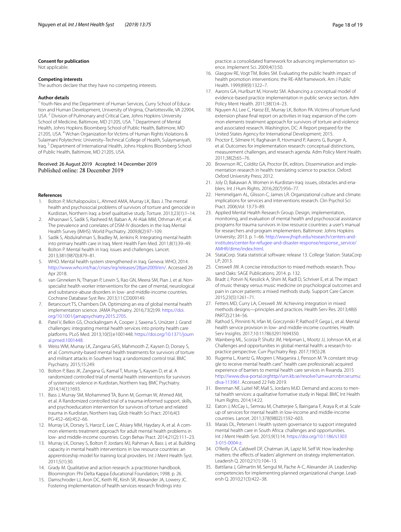#### **Consent for publication**

Not applicable.

#### **Competing interests**

The authors declare that they have no competing interests.

#### **Author details**

<sup>1</sup> Youth-Nex and the Department of Human Services, Curry School of Education and Human Development, University of Virginia, Charlottesville, VA 22904, USA. <sup>2</sup> Division of Pulmonary and Critical Care, Johns Hopkins University School of Medicine, Baltimore, MD 21205, USA.<sup>3</sup> Department of Mental Health, Johns Hopkins Bloomberg School of Public Health, Baltimore, MD 21205, USA. 4 Wchan Organization for Victims of Human Rights Violations & Sulaimani Polytechnic University–Technical College of Health, Sulaymaniyah, Iraq. 5 Department of International Health, Johns Hopkins Bloomberg School of Public Health, Baltimore, MD 21205, USA.

## Received: 26 August 2019 Accepted: 14 December 2019

#### **References**

- <span id="page-17-0"></span>1. Bolton P, Michalopoulos L, Ahmed AMA, Murray LK, Bass J. The mental health and psychosocial problems of survivors of torture and genocide in Kurdistan, Northern Iraq: a brief qualitative study. Torture. 2013;23(1):1–14.
- <span id="page-17-1"></span>2. Alhasnawi S, Sadik S, Rasheed M, Baban A, Al-Alak MM, Othman AY, et al. The prevalence and correlates of DSM-IV disorders in the Iraq Mental Health Survey (IMHS). World Psychiatry. 2009;8(2):97–109.
- <span id="page-17-2"></span>Sadik S, Abdulrahman S, Bradley M, Jenkins R. Integrating mental health into primary health care in Iraq. Ment Health Fam Med. 2011;8(1):39–49.
- <span id="page-17-3"></span>4. Bolton P. Mental health in Iraq: issues and challenges. Lancet. 2013;381(9870):879–81.
- <span id="page-17-4"></span>5. WHO. Mental health system strengthened in Iraq. Geneva: WHO; 2014. [http://www.who.int/hac/crises/irq/releases/28jan2009/en/.](http://www.who.int/hac/crises/irq/releases/28jan2009/en/) Accessed 26 Apr 2018.
- <span id="page-17-5"></span>6. van Ginneken N, Tharyan P, Lewin S, Rao GN, Meera SM, Pian J, et al. Nonspecialist health worker interventions for the care of mental, neurological and substance-abuse disorders in low- and middle-income countries. Cochrane Database Syst Rev. 2013;11:CD009149.
- <span id="page-17-6"></span>7. Betancourt TS, Chambers DA. Optimizing an era of global mental health implementation science. JAMA Psychiatry. 2016;73(2):99. [https://doi.](https://doi.org/10.1001/jamapsychiatry.2015.2705) [org/10.1001/jamapsychiatry.2015.2705](https://doi.org/10.1001/jamapsychiatry.2015.2705).
- <span id="page-17-7"></span>8. Patel V, Belkin GS, Chockalingam A, Cooper J, Saxena S, Unützer J. Grand challenges: integrating mental health services into priority health care platforms. PLoS Med. 2013;10(5):e1001448. [https://doi.org/10.1371/journ](https://doi.org/10.1371/journal.pmed.1001448) [al.pmed.1001448.](https://doi.org/10.1371/journal.pmed.1001448)
- <span id="page-17-8"></span>9. Weiss WM, Murray LK, Zangana GAS, Mahmooth Z, Kaysen D, Dorsey S, et al. Community-based mental health treatments for survivors of torture and militant attacks in Southern Iraq: a randomized control trial. BMC Psychiatry. 2015;15:249.
- <span id="page-17-12"></span>10. Bolton P, Bass JK, Zangana G, Kamal T, Murray S, Kaysen D, et al. A randomized controlled trial of mental health interventions for survivors of systematic violence in Kurdistan, Northern Iraq. BMC Psychiatry. 2014;14(1):1693.
- <span id="page-17-9"></span>11. Bass J, Murray SM, Mohammed TA, Bunn M, Gorman W, Ahmed AM, et al. A Randomized controlled trial of a trauma-informed support, skills, and psychoeducation intervention for survivors of torture and related trauma in Kurdistan, Northern Iraq. Glob Health Sci Pract. 2016;4(3 PG-452–66):452–66.
- <span id="page-17-10"></span>12. Murray LK, Dorsey S, Haroz E, Lee C, Alsiary MM, Haydary A, et al. A common elements treatment approach for adult mental health problems in low- and middle-income countries. Cogn Behav Pract. 2014;21(2):111–23.
- <span id="page-17-11"></span>13. Murray LK, Dorsey S, Bolton P, Jordans MJ, Rahman A, Bass J, et al. Building capacity in mental health interventions in low resource countries: an apprenticeship model for training local providers. Int J Ment Health Syst. 2011;5(1):30.
- <span id="page-17-13"></span>14. Grady M. Qualitative and action research: a practitioner handbook. Bloomington: Phi Delta Kappa Educational Foundation; 1998. p. 26.
- <span id="page-17-14"></span>15. Damschroder LJ, Aron DC, Keith RE, Kirsh SR, Alexander JA, Lowery JC. Fostering implementation of health services research fndings into

practice: a consolidated framework for advancing implementation science. Implement Sci. 2009;4(1):50.

- 16. Glasgow RE, Vogt TM, Boles SM. Evaluating the public health impact of health promotion interventions: the RE-AIM framework. Am J Public Health. 1999;89(9):1322–7.
- <span id="page-17-15"></span>17. Aarons GA, Hurlburt M, Horwitz SM. Advancing a conceptual model of evidence-based practice implementation in public service sectors. Adm Policy Ment Health. 2011;38(1):4–23.
- <span id="page-17-16"></span>18. Nguyen AJ, Lee C, Haroz EE, Murray LK, Bolton PA. Victims of torture fund extension phase fnal report on activities in Iraq: expansion of the common elements treatment approach for survivors of torture and violence and associated research. Washington, DC: A Report prepared for the United States Agency for International Development; 2015.
- <span id="page-17-17"></span>19. Proctor E, Silmere H, Raghavan R, Hovmand P, Aarons G, Bunger A, et al. Outcomes for implementation research: conceptual distinctions, measurement challenges, and research agenda. Adm Policy Ment Health. 2011;38(2):65–76.
- <span id="page-17-18"></span>20. Brownson RC, Colditz GA, Proctor EK, editors. Dissemination and implementation research in health: translating science to practice. Oxford: Oxford University Press; 2012.
- <span id="page-17-19"></span>21. Joly D, Bakawan A. Women in Kurdistan-Iraq: issues, obstacles and enablers. Int J Hum Rights. 2016;20(7):956–77.
- <span id="page-17-20"></span>22. Hemmelgarn AL, Glisson C, James LR. Organizational culture and climate: implications for services and interventions research. Clin Psychol Sci Pract. 2006;Vol. 13:73–89.
- <span id="page-17-21"></span>23. Applied Mental Health Research Group. Design, implementation, monitoring, and evaluation of mental health and psychosocial assistance programs for trauma survivors in low resource countries: a user's manual for researchers and program implementers. Baltimore: Johns Hopkins University; 2013. p. 1–66. [http://www.jhsph.edu/research/centers-and](http://www.jhsph.edu/research/centers-and-institutes/center-for-refugee-and-disaster-response/response_service/AMHR/dime/index.html)[institutes/center-for-refugee-and-disaster-response/response\\_service/](http://www.jhsph.edu/research/centers-and-institutes/center-for-refugee-and-disaster-response/response_service/AMHR/dime/index.html) [AMHR/dime/index.html.](http://www.jhsph.edu/research/centers-and-institutes/center-for-refugee-and-disaster-response/response_service/AMHR/dime/index.html)
- <span id="page-17-22"></span>24. StataCorp. Stata statistical software: release 13. College Station: StataCorp LP; 2013.
- <span id="page-17-23"></span>25. Creswell JW. A concise introduction to mixed methods research. Thousand Oaks: SAGE Publications; 2014. p. 132.
- <span id="page-17-24"></span>26. Bradt J, Potvin N, Kesslick A, Shim M, Radl D, Schriver E, et al. The impact of music therapy versus music medicine on psychological outcomes and pain in cancer patients: a mixed methods study. Support Care Cancer. 2015;23(5):1261–71.
- <span id="page-17-25"></span>27. Fetters MD, Curry LA, Creswell JW. Achieving integration in mixed methods designs—principles and practices. Health Serv Res. 2013;48(6 PART2):2134–56.
- <span id="page-17-26"></span>28. Rathod S, Pinninti N, Irfan M, Gorczynski P, Rathod P, Gega L, et al. Mental health service provision in low- and middle-income countries. Health Serv Insights. 2017;10:1178632917694350.
- 29. Wainberg ML, Scorza P, Shultz JM, Helpman L, Mootz JJ, Johnson KA, et al. Challenges and opportunities in global mental health: a research-topractice perspective. Curr Psychiatry Rep. 2017;19(5):28.
- 30. Rugema L, Krantz G, Mogren I, Ntaganira J, Persson M. "A constant struggle to receive mental health care": health care professionals' acquired experience of barriers to mental health care services in Rwanda. 2015 [http://www.diva-portal.orghttp//urn.kb.se/resolve?urn](http://www.diva-portal.orghttp//urn.kb.se/resolve%3furn%3durn:nbn:se:umu:diva-113961)=urn:nbn:se:umu: [diva-113961](http://www.diva-portal.orghttp//urn.kb.se/resolve%3furn%3durn:nbn:se:umu:diva-113961). Accessed 22 Feb 2019.
- 31. Brenman NF, Luitel NP, Mall S, Jordans MJD. Demand and access to mental health services: a qualitative formative study in Nepal. BMC Int Health Hum Rights. 2014;14:22.
- <span id="page-17-27"></span>32. Eaton J, McCay L, Semrau M, Chatterjee S, Baingana F, Araya R, et al. Scale up of services for mental health in low-income and middle-income countries. Lancet. 2011;378(9802):1592–603.
- <span id="page-17-28"></span>33. Marais DL, Petersen I. Health system governance to support integrated mental health care in South Africa: challenges and opportunities. Int J Ment Health Syst. 2015;9(1):14. [https://doi.org/10.1186/s1303](https://doi.org/10.1186/s13033-015-0004-z) [3-015-0004-z.](https://doi.org/10.1186/s13033-015-0004-z)
- <span id="page-17-29"></span>34. O'Reilly CA, Caldwell DF, Chatman JA, Lapiz M, Self W. How leadership matters: the efects of leaders' alignment on strategy implementation. Leadersh Q. 2010;21(1):104–13.
- 35. Battilana J, Gilmartin M, Sengul M, Pache A-C, Alexander JA. Leadership competencies for implementing planned organizational change. Leadersh Q. 2010;21(3):422–38.